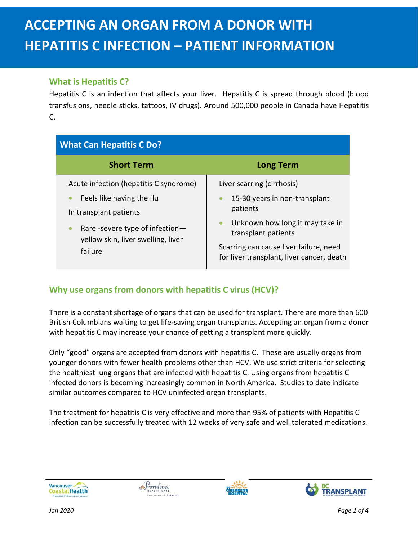## **What is Hepatitis C?**

Hepatitis C is an infection that affects your liver. Hepatitis C is spread through blood (blood transfusions, needle sticks, tattoos, IV drugs). Around 500,000 people in Canada have Hepatitis C.

| <b>What Can Hepatitis C Do?</b>                                                                                                                                                                             |                                                                                                                                                                                                                          |
|-------------------------------------------------------------------------------------------------------------------------------------------------------------------------------------------------------------|--------------------------------------------------------------------------------------------------------------------------------------------------------------------------------------------------------------------------|
| <b>Short Term</b>                                                                                                                                                                                           | <b>Long Term</b>                                                                                                                                                                                                         |
| Acute infection (hepatitis C syndrome)<br>Feels like having the flu<br>$\bullet$<br>In transplant patients<br>Rare -severe type of infection-<br>$\bullet$<br>yellow skin, liver swelling, liver<br>failure | Liver scarring (cirrhosis)<br>15-30 years in non-transplant<br>patients<br>Unknown how long it may take in<br>transplant patients<br>Scarring can cause liver failure, need<br>for liver transplant, liver cancer, death |

# **Why use organs from donors with hepatitis C virus (HCV)?**

There is a constant shortage of organs that can be used for transplant. There are more than 600 British Columbians waiting to get life-saving organ transplants. Accepting an organ from a donor with hepatitis C may increase your chance of getting a transplant more quickly.

Only "good" organs are accepted from donors with hepatitis C. These are usually organs from younger donors with fewer health problems other than HCV. We use strict criteria for selecting the healthiest lung organs that are infected with hepatitis C. Using organs from hepatitis C infected donors is becoming increasingly common in North America. Studies to date indicate similar outcomes compared to HCV uninfected organ transplants.

The treatment for hepatitis C is very effective and more than 95% of patients with Hepatitis C infection can be successfully treated with 12 weeks of very safe and well tolerated medications.





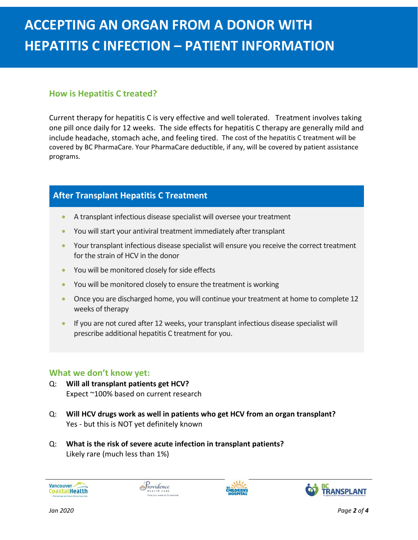### **How is Hepatitis C treated?**

Current therapy for hepatitis C is very effective and well tolerated. Treatment involves taking one pill once daily for 12 weeks. The side effects for hepatitis C therapy are generally mild and include headache, stomach ache, and feeling tired. The cost of the hepatitis C treatment will be covered by BC PharmaCare. Your PharmaCare deductible, if any, will be covered by patient assistance programs.

## **After Transplant Hepatitis C Treatment**

- A transplant infectious disease specialist will oversee your treatment
- You will start your antiviral treatment immediately after transplant
- Your transplant infectious disease specialist will ensure you receive the correct treatment for the strain of HCV in the donor
- You will be monitored closely for side effects
- You will be monitored closely to ensure the treatment is working
- Once you are discharged home, you will continue your treatment at home to complete 12 weeks of therapy
- If you are not cured after 12 weeks, your transplant infectious disease specialist will prescribe additional hepatitis C treatment for you.

#### **What we don't know yet:**

- Q: **Will all transplant patients get HCV?** Expect ~100% based on current research
- Q: **Will HCV drugs work as well in patients who get HCV from an organ transplant?** Yes - but this is NOT yet definitely known
- Q: **What is the risk of severe acute infection in transplant patients?** Likely rare (much less than 1%)



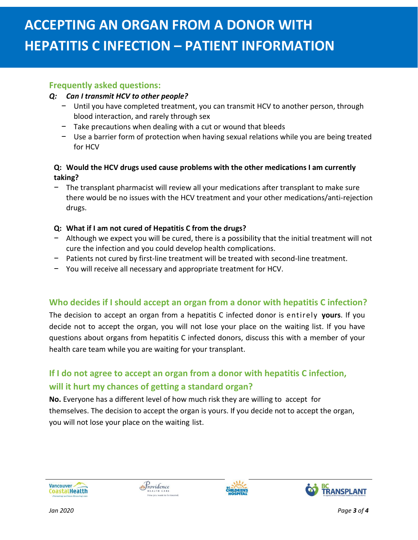#### **Frequently asked questions:**

#### *Q: Can I transmit HCV to other people?*

- − Until you have completed treatment, you can transmit HCV to another person, through blood interaction, and rarely through sex
- − Take precautions when dealing with a cut or wound that bleeds
- − Use a barrier form of protection when having sexual relations while you are being treated for HCV

#### **Q: Would the HCV drugs used cause problems with the other medications I am currently taking?**

The transplant pharmacist will review all your medications after transplant to make sure there would be no issues with the HCV treatment and your other medications/anti-rejection drugs.

#### **Q: What if I am not cured of Hepatitis C from the drugs?**

- − Although we expect you will be cured, there is a possibility that the initial treatment will not cure the infection and you could develop health complications.
- Patients not cured by first-line treatment will be treated with second-line treatment.
- − You will receive all necessary and appropriate treatment for HCV.

# **Who decides if I should accept an organ from a donor with hepatitis C infection?**

The decision to accept an organ from a hepatitis C infected donor is entirely **yours**. If you decide not to accept the organ, you will not lose your place on the waiting list. If you have questions about organs from hepatitis C infected donors, discuss this with a member of your health care team while you are waiting for your transplant.

# **If I do not agree to accept an organ from a donor with hepatitis C infection, will it hurt my chances of getting a standard organ?**

**No.** Everyone has a different level of how much risk they are willing to accept for themselves. The decision to accept the organ is yours. If you decide not to accept the organ, you will not lose your place on the waiting list.